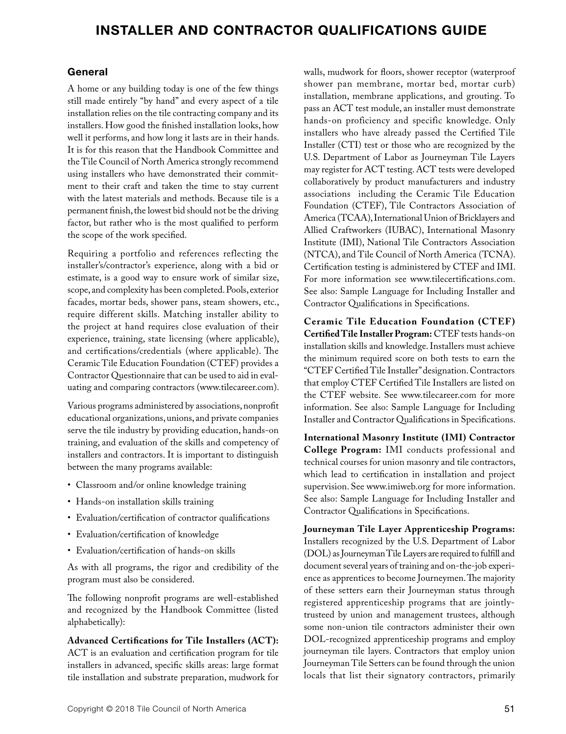# INSTALLER AND CONTRACTOR QUALIFICATIONS GUIDE

# General

A home or any building today is one of the few things still made entirely "by hand" and every aspect of a tile installation relies on the tile contracting company and its installers. How good the finished installation looks, how well it performs, and how long it lasts are in their hands. It is for this reason that the Handbook Committee and the Tile Council of North America strongly recommend using installers who have demonstrated their commitment to their craft and taken the time to stay current with the latest materials and methods. Because tile is a permanent finish, the lowest bid should not be the driving factor, but rather who is the most qualified to perform the scope of the work specified.

Requiring a portfolio and references reflecting the installer's/contractor's experience, along with a bid or estimate, is a good way to ensure work of similar size, scope, and complexity has been completed. Pools, exterior facades, mortar beds, shower pans, steam showers, etc., require different skills. Matching installer ability to the project at hand requires close evaluation of their experience, training, state licensing (where applicable), and certifications/credentials (where applicable). The Ceramic Tile Education Foundation (CTEF) provides a Contractor Questionnaire that can be used to aid in evaluating and comparing contractors (www.tilecareer.com).

Various programs administered by associations, nonprofit educational organizations, unions, and private companies serve the tile industry by providing education, hands-on training, and evaluation of the skills and competency of installers and contractors. It is important to distinguish between the many programs available:

- Classroom and/or online knowledge training
- Hands-on installation skills training
- Evaluation/certification of contractor qualifications
- Evaluation/certification of knowledge
- Evaluation/certification of hands-on skills

As with all programs, the rigor and credibility of the program must also be considered.

The following nonprofit programs are well-established and recognized by the Handbook Committee (listed alphabetically):

**Advanced Certifications for Tile Installers (ACT):**  ACT is an evaluation and certification program for tile installers in advanced, specific skills areas: large format tile installation and substrate preparation, mudwork for walls, mudwork for floors, shower receptor (waterproof shower pan membrane, mortar bed, mortar curb) installation, membrane applications, and grouting. To pass an ACT test module, an installer must demonstrate hands-on proficiency and specific knowledge. Only installers who have already passed the Certified Tile Installer (CTI) test or those who are recognized by the U.S. Department of Labor as Journeyman Tile Layers may register for ACT testing. ACT tests were developed collaboratively by product manufacturers and industry associations including the Ceramic Tile Education Foundation (CTEF), Tile Contractors Association of America (TCAA), International Union of Bricklayers and Allied Craftworkers (IUBAC), International Masonry Institute (IMI), National Tile Contractors Association (NTCA), and Tile Council of North America (TCNA). Certification testing is administered by CTEF and IMI. For more information see [www.tilecertifications.com](http://www.tilecertifications.com). See also: Sample Language for Including Installer and Contractor Qualifications in Specifications.

**Ceramic Tile Education Foundation (CTEF) Certified Tile Installer Program:** CTEF tests hands-on installation skills and knowledge. Installers must achieve the minimum required score on both tests to earn the "CTEF Certified Tile Installer" designation. Contractors that employ CTEF Certified Tile Installers are listed on the CTEF website. See [www.tilecareer.com](http://www.tilecareer.com) for more information. See also: Sample Language for Including Installer and Contractor Qualifications in Specifications.

**International Masonry Institute (IMI) Contractor College Program:** IMI conducts professional and technical courses for union masonry and tile contractors, which lead to certification in installation and project supervision. See www.imiweb.org for more information. See also: Sample Language for Including Installer and Contractor Qualifications in Specifications.

**Journeyman Tile Layer Apprenticeship Programs:** Installers recognized by the U.S. Department of Labor (DOL) as Journeyman Tile Layers are required to fulfill and document several years of training and on-the-job experience as apprentices to become Journeymen. The majority of these setters earn their Journeyman status through registered apprenticeship programs that are jointlytrusteed by union and management trustees, although some non-union tile contractors administer their own DOL-recognized apprenticeship programs and employ journeyman tile layers. Contractors that employ union Journeyman Tile Setters can be found through the union locals that list their signatory contractors, primarily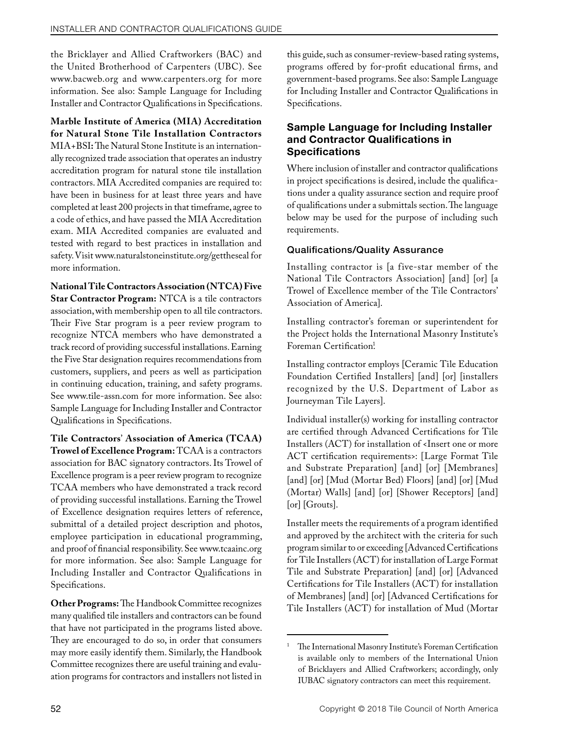the Bricklayer and Allied Craftworkers (BAC) and the United Brotherhood of Carpenters (UBC). See [www.bacweb.org](http://www.bacweb.org) and [www.carpenters.org](http://www.carpenters.org) for more information. See also: Sample Language for Including Installer and Contractor Qualifications in Specifications.

**Marble Institute of America (MIA) Accreditation for Natural Stone Tile Installation Contractors**  MIA+BSI**:** The Natural Stone Institute is an internationally recognized trade association that operates an industry accreditation program for natural stone tile installation contractors. MIA Accredited companies are required to: have been in business for at least three years and have completed at least 200 projects in that timeframe, agree to a code of ethics, and have passed the MIA Accreditation exam. MIA Accredited companies are evaluated and tested with regard to best practices in installation and safety. Visit www.naturalstoneinstitute.org/gettheseal for more information.

**National Tile Contractors Association (NTCA) Five Star Contractor Program:** NTCA is a tile contractors association, with membership open to all tile contractors. Their Five Star program is a peer review program to recognize NTCA members who have demonstrated a track record of providing successful installations. Earning the Five Star designation requires recommendations from customers, suppliers, and peers as well as participation in continuing education, training, and safety programs. See [www.tile-assn.com](http://www.tile-assn.com) for more information. See also: Sample Language for Including Installer and Contractor Qualifications in Specifications.

**Tile Contractors**' **Association of America (TCAA) Trowel of Excellence Program:** TCAA is a contractors association for BAC signatory contractors. Its Trowel of Excellence program is a peer review program to recognize TCAA members who have demonstrated a track record of providing successful installations. Earning the Trowel of Excellence designation requires letters of reference, submittal of a detailed project description and photos, employee participation in educational programming, and proof of financial responsibility. See [www.tcaainc.org](http://www.tcaainc.org ) for more information. See also: Sample Language for Including Installer and Contractor Qualifications in Specifications.

**Other Programs:** The Handbook Committee recognizes many qualified tile installers and contractors can be found that have not participated in the programs listed above. They are encouraged to do so, in order that consumers may more easily identify them. Similarly, the Handbook Committee recognizes there are useful training and evaluation programs for contractors and installers not listed in

this guide, such as consumer-review-based rating systems, programs offered by for-profit educational firms, and government-based programs. See also: Sample Language for Including Installer and Contractor Qualifications in Specifications.

### Sample Language for Including Installer and Contractor Qualifications in **Specifications**

Where inclusion of installer and contractor qualifications in project specifications is desired, include the qualifications under a quality assurance section and require proof of qualifications under a submittals section. The language below may be used for the purpose of including such requirements.

#### Qualifications/Quality Assurance

Installing contractor is [a five-star member of the National Tile Contractors Association] [and] [or] [a Trowel of Excellence member of the Tile Contractors' Association of America].

Installing contractor's foreman or superintendent for the Project holds the International Masonry Institute's Foreman Certification!

Installing contractor employs [Ceramic Tile Education Foundation Certified Installers] [and] [or] [installers recognized by the U.S. Department of Labor as Journeyman Tile Layers].

Individual installer(s) working for installing contractor are certified through Advanced Certifications for Tile Installers (ACT) for installation of <Insert one or more ACT certification requirements>: [Large Format Tile and Substrate Preparation] [and] [or] [Membranes] [and] [or] [Mud (Mortar Bed) Floors] [and] [or] [Mud (Mortar) Walls] [and] [or] [Shower Receptors] [and] [or] [Grouts].

Installer meets the requirements of a program identified and approved by the architect with the criteria for such program similar to or exceeding [Advanced Certifications for Tile Installers (ACT) for installation of Large Format Tile and Substrate Preparation] [and] [or] [Advanced Certifications for Tile Installers (ACT) for installation of Membranes] [and] [or] [Advanced Certifications for Tile Installers (ACT) for installation of Mud (Mortar

<sup>1</sup> The International Masonry Institute's Foreman Certification is available only to members of the International Union of Bricklayers and Allied Craftworkers; accordingly, only IUBAC signatory contractors can meet this requirement.